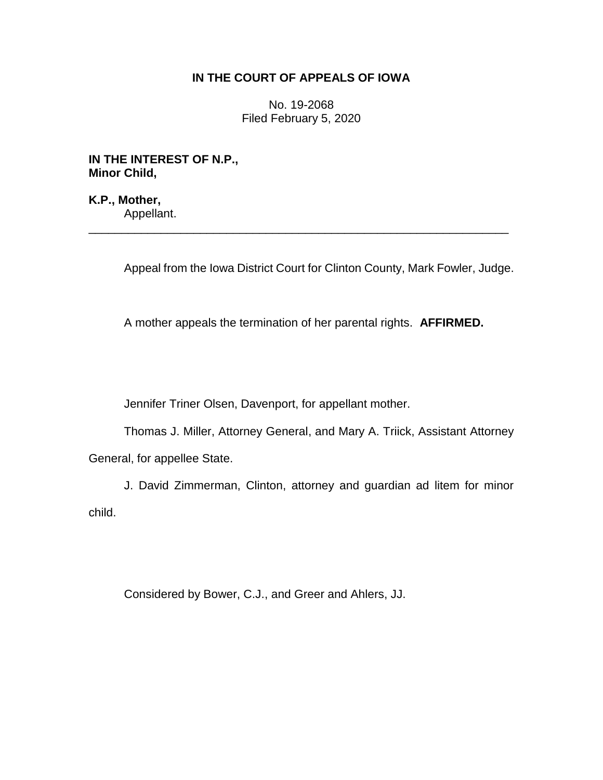## **IN THE COURT OF APPEALS OF IOWA**

No. 19-2068 Filed February 5, 2020

**IN THE INTEREST OF N.P., Minor Child,**

**K.P., Mother,** Appellant.

Appeal from the Iowa District Court for Clinton County, Mark Fowler, Judge.

A mother appeals the termination of her parental rights. **AFFIRMED.**

\_\_\_\_\_\_\_\_\_\_\_\_\_\_\_\_\_\_\_\_\_\_\_\_\_\_\_\_\_\_\_\_\_\_\_\_\_\_\_\_\_\_\_\_\_\_\_\_\_\_\_\_\_\_\_\_\_\_\_\_\_\_\_\_

Jennifer Triner Olsen, Davenport, for appellant mother.

Thomas J. Miller, Attorney General, and Mary A. Triick, Assistant Attorney General, for appellee State.

J. David Zimmerman, Clinton, attorney and guardian ad litem for minor child.

Considered by Bower, C.J., and Greer and Ahlers, JJ.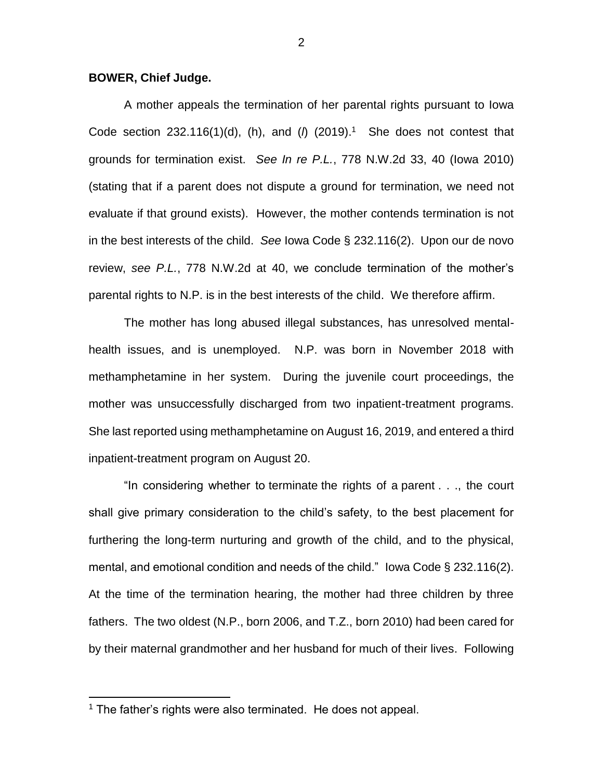## **BOWER, Chief Judge.**

A mother appeals the termination of her parental rights pursuant to Iowa Code section  $232.116(1)(d)$ , (h), and ( $\hbar$  (2019).<sup>1</sup> She does not contest that grounds for termination exist. *See In re P.L.*, 778 N.W.2d 33, 40 (Iowa 2010) (stating that if a parent does not dispute a ground for termination, we need not evaluate if that ground exists). However, the mother contends termination is not in the best interests of the child. *See* Iowa Code § 232.116(2). Upon our de novo review, *see P.L.*, 778 N.W.2d at 40, we conclude termination of the mother's parental rights to N.P. is in the best interests of the child. We therefore affirm.

The mother has long abused illegal substances, has unresolved mentalhealth issues, and is unemployed. N.P. was born in November 2018 with methamphetamine in her system. During the juvenile court proceedings, the mother was unsuccessfully discharged from two inpatient-treatment programs. She last reported using methamphetamine on August 16, 2019, and entered a third inpatient-treatment program on August 20.

"In considering whether to terminate the rights of a parent . . ., the court shall give primary consideration to the child's safety, to the best placement for furthering the long-term nurturing and growth of the child, and to the physical, mental, and emotional condition and needs of the child." Iowa Code § 232.116(2). At the time of the termination hearing, the mother had three children by three fathers. The two oldest (N.P., born 2006, and T.Z., born 2010) had been cared for by their maternal grandmother and her husband for much of their lives. Following

 $\overline{a}$ 

<sup>&</sup>lt;sup>1</sup> The father's rights were also terminated. He does not appeal.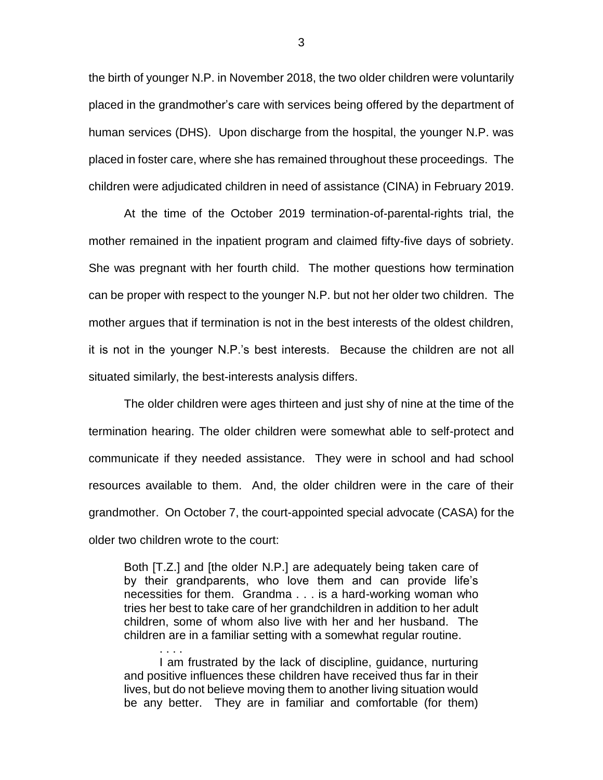the birth of younger N.P. in November 2018, the two older children were voluntarily placed in the grandmother's care with services being offered by the department of human services (DHS). Upon discharge from the hospital, the younger N.P. was placed in foster care, where she has remained throughout these proceedings. The children were adjudicated children in need of assistance (CINA) in February 2019.

At the time of the October 2019 termination-of-parental-rights trial, the mother remained in the inpatient program and claimed fifty-five days of sobriety. She was pregnant with her fourth child. The mother questions how termination can be proper with respect to the younger N.P. but not her older two children. The mother argues that if termination is not in the best interests of the oldest children, it is not in the younger N.P.'s best interests. Because the children are not all situated similarly, the best-interests analysis differs.

The older children were ages thirteen and just shy of nine at the time of the termination hearing. The older children were somewhat able to self-protect and communicate if they needed assistance. They were in school and had school resources available to them. And, the older children were in the care of their grandmother. On October 7, the court-appointed special advocate (CASA) for the older two children wrote to the court:

Both [T.Z.] and [the older N.P.] are adequately being taken care of by their grandparents, who love them and can provide life's necessities for them. Grandma . . . is a hard-working woman who tries her best to take care of her grandchildren in addition to her adult children, some of whom also live with her and her husband. The children are in a familiar setting with a somewhat regular routine.

I am frustrated by the lack of discipline, guidance, nurturing and positive influences these children have received thus far in their lives, but do not believe moving them to another living situation would be any better. They are in familiar and comfortable (for them)

. . . .

3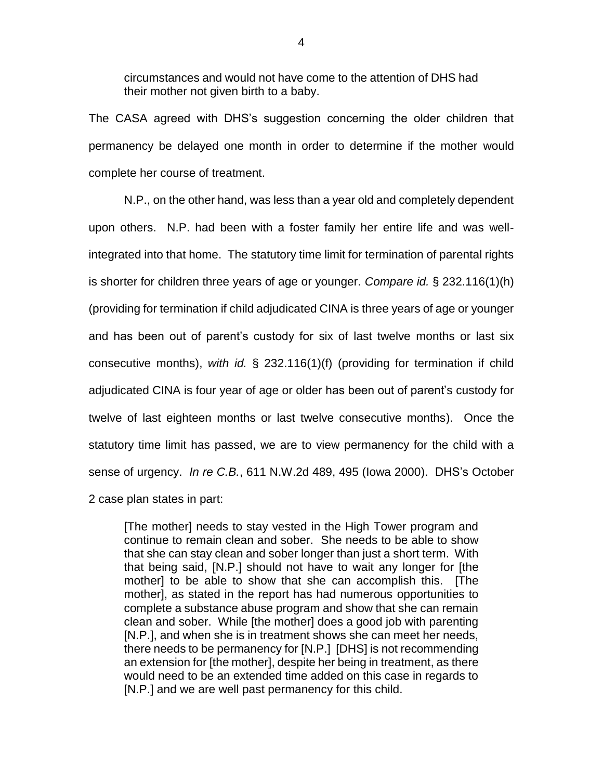circumstances and would not have come to the attention of DHS had their mother not given birth to a baby.

The CASA agreed with DHS's suggestion concerning the older children that permanency be delayed one month in order to determine if the mother would complete her course of treatment.

N.P., on the other hand, was less than a year old and completely dependent upon others. N.P. had been with a foster family her entire life and was wellintegrated into that home. The statutory time limit for termination of parental rights is shorter for children three years of age or younger. *Compare id.* § 232.116(1)(h) (providing for termination if child adjudicated CINA is three years of age or younger and has been out of parent's custody for six of last twelve months or last six consecutive months), *with id.* § 232.116(1)(f) (providing for termination if child adjudicated CINA is four year of age or older has been out of parent's custody for twelve of last eighteen months or last twelve consecutive months). Once the statutory time limit has passed, we are to view permanency for the child with a sense of urgency. *In re C.B.*, 611 N.W.2d 489, 495 (Iowa 2000). DHS's October 2 case plan states in part:

[The mother] needs to stay vested in the High Tower program and continue to remain clean and sober. She needs to be able to show that she can stay clean and sober longer than just a short term. With that being said, [N.P.] should not have to wait any longer for [the mother] to be able to show that she can accomplish this. [The mother], as stated in the report has had numerous opportunities to complete a substance abuse program and show that she can remain clean and sober. While [the mother] does a good job with parenting [N.P.], and when she is in treatment shows she can meet her needs, there needs to be permanency for [N.P.] [DHS] is not recommending an extension for [the mother], despite her being in treatment, as there would need to be an extended time added on this case in regards to [N.P.] and we are well past permanency for this child.